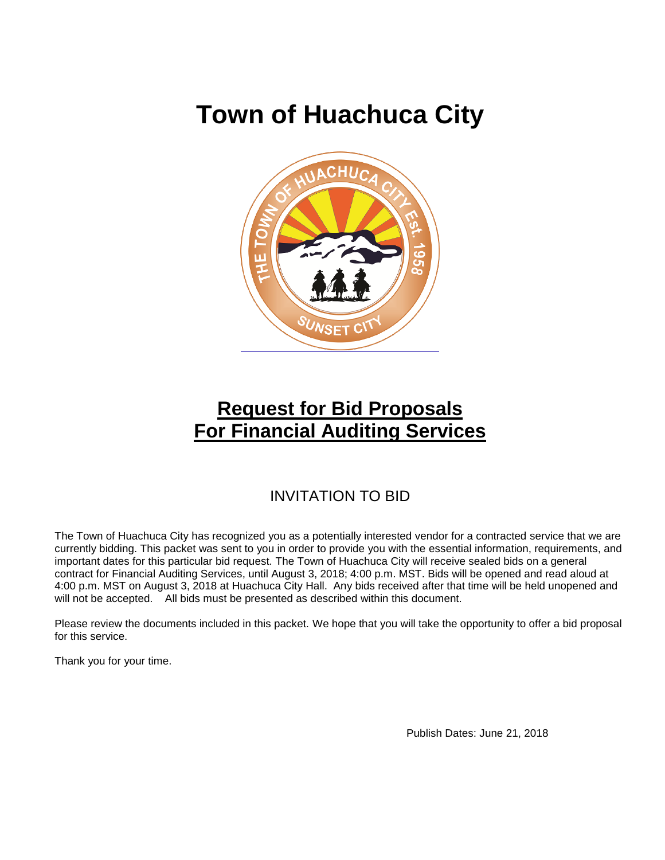# **Town of Huachuca City**



## **Request for Bid Proposals For Financial Auditing Services**

## INVITATION TO BID

The Town of Huachuca City has recognized you as a potentially interested vendor for a contracted service that we are currently bidding. This packet was sent to you in order to provide you with the essential information, requirements, and important dates for this particular bid request. The Town of Huachuca City will receive sealed bids on a general contract for Financial Auditing Services, until August 3, 2018; 4:00 p.m. MST. Bids will be opened and read aloud at 4:00 p.m. MST on August 3, 2018 at Huachuca City Hall. Any bids received after that time will be held unopened and will not be accepted. All bids must be presented as described within this document.

Please review the documents included in this packet. We hope that you will take the opportunity to offer a bid proposal for this service.

Thank you for your time.

Publish Dates: June 21, 2018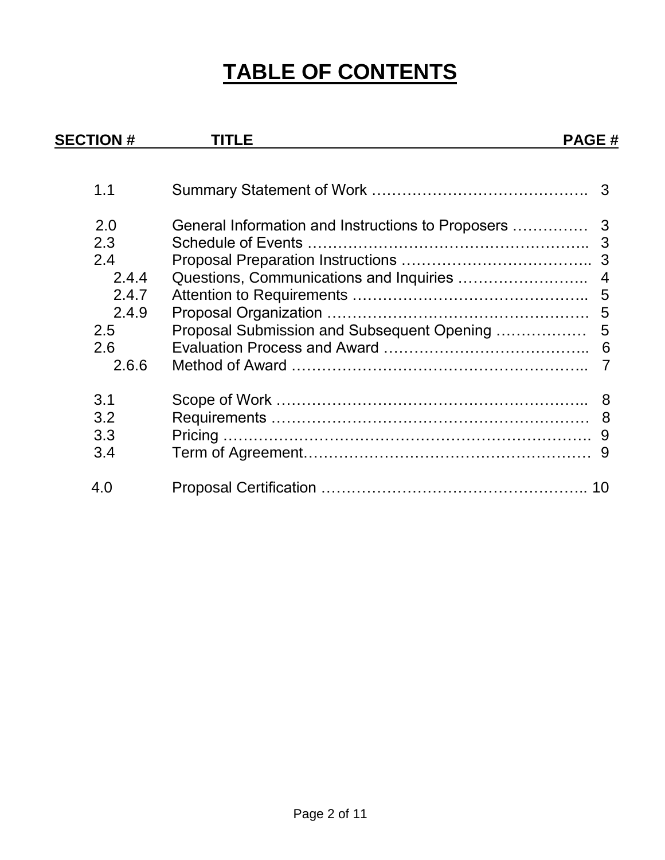# **TABLE OF CONTENTS**

| <b>SECTION #</b> | TITLE                                      | <b>PAGE#</b> |
|------------------|--------------------------------------------|--------------|
|                  |                                            |              |
| 1.1              |                                            |              |
| 2.0              |                                            |              |
| 2.3              |                                            |              |
| 2.4              |                                            |              |
| 2.4.4            |                                            |              |
| 2.4.7            |                                            |              |
| 2.4.9            |                                            |              |
| 2.5              | Proposal Submission and Subsequent Opening | 5            |
| 2.6              |                                            |              |
| 2.6.6            |                                            |              |
| 3.1              |                                            |              |
| 3.2              |                                            |              |
| 3.3              |                                            |              |
| 3.4              |                                            |              |
| 4.0              |                                            |              |
|                  |                                            |              |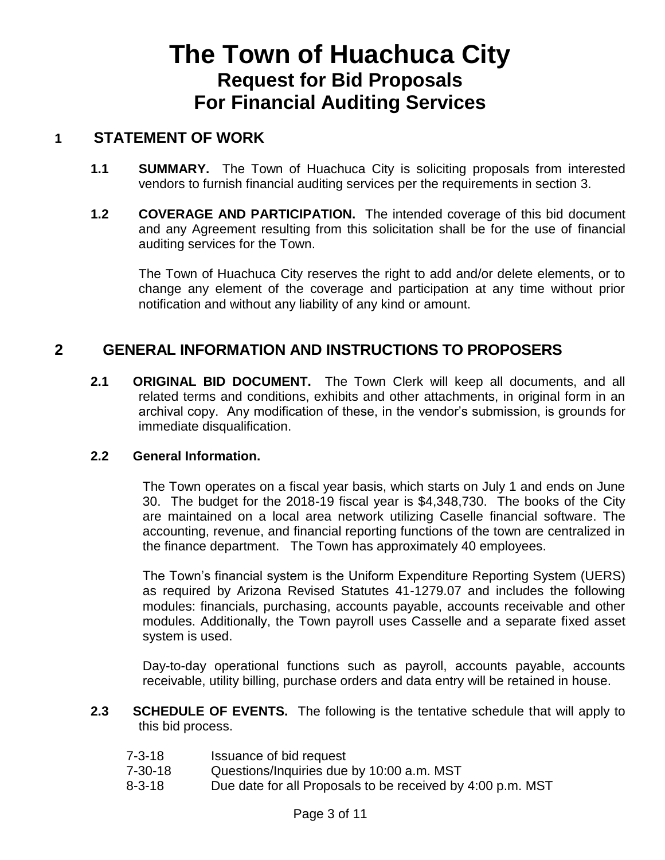## **The Town of Huachuca City Request for Bid Proposals For Financial Auditing Services**

### **1 STATEMENT OF WORK**

- **1.1 SUMMARY.** The Town of Huachuca City is soliciting proposals from interested vendors to furnish financial auditing services per the requirements in section 3.
- **1.2 COVERAGE AND PARTICIPATION.** The intended coverage of this bid document and any Agreement resulting from this solicitation shall be for the use of financial auditing services for the Town.

The Town of Huachuca City reserves the right to add and/or delete elements, or to change any element of the coverage and participation at any time without prior notification and without any liability of any kind or amount.

## **2 GENERAL INFORMATION AND INSTRUCTIONS TO PROPOSERS**

**2.1 ORIGINAL BID DOCUMENT.** The Town Clerk will keep all documents, and all related terms and conditions, exhibits and other attachments, in original form in an archival copy. Any modification of these, in the vendor's submission, is grounds for immediate disqualification.

#### **2.2 General Information.**

The Town operates on a fiscal year basis, which starts on July 1 and ends on June 30. The budget for the 2018-19 fiscal year is \$4,348,730. The books of the City are maintained on a local area network utilizing Caselle financial software. The accounting, revenue, and financial reporting functions of the town are centralized in the finance department. The Town has approximately 40 employees.

The Town's financial system is the Uniform Expenditure Reporting System (UERS) as required by Arizona Revised Statutes 41-1279.07 and includes the following modules: financials, purchasing, accounts payable, accounts receivable and other modules. Additionally, the Town payroll uses Casselle and a separate fixed asset system is used.

Day-to-day operational functions such as payroll, accounts payable, accounts receivable, utility billing, purchase orders and data entry will be retained in house.

- **2.3 SCHEDULE OF EVENTS.** The following is the tentative schedule that will apply to this bid process.
	- 7-3-18 Issuance of bid request
	- 7-30-18 Questions/Inquiries due by 10:00 a.m. MST
	- 8-3-18 Due date for all Proposals to be received by 4:00 p.m. MST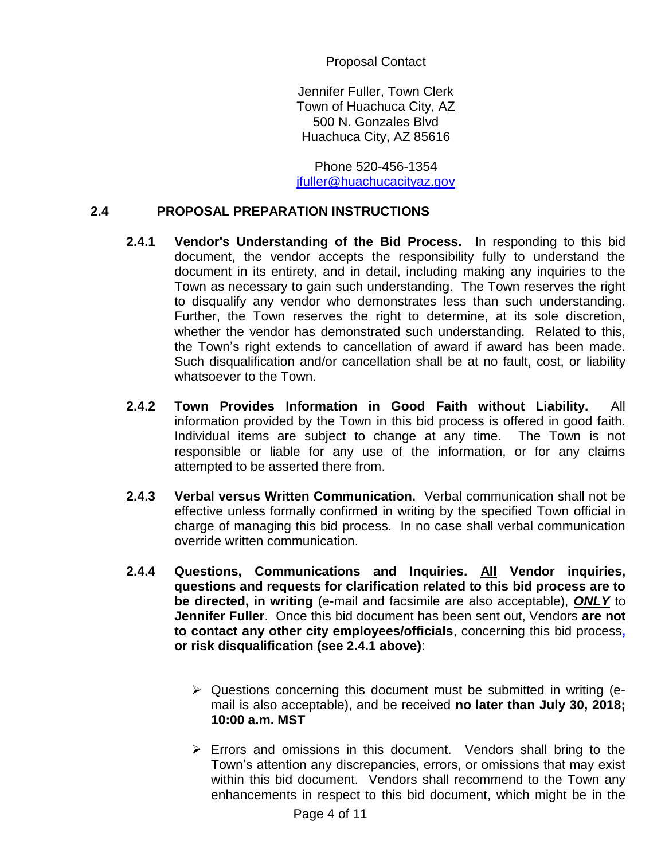Proposal Contact

Jennifer Fuller, Town Clerk Town of Huachuca City, AZ 500 N. Gonzales Blvd Huachuca City, AZ 85616

Phone 520-456-1354 [jfuller@huachucacityaz.gov](mailto:jfuller@huachucacityaz.gov)

#### **2.4 PROPOSAL PREPARATION INSTRUCTIONS**

- **2.4.1 Vendor's Understanding of the Bid Process.** In responding to this bid document, the vendor accepts the responsibility fully to understand the document in its entirety, and in detail, including making any inquiries to the Town as necessary to gain such understanding. The Town reserves the right to disqualify any vendor who demonstrates less than such understanding. Further, the Town reserves the right to determine, at its sole discretion, whether the vendor has demonstrated such understanding. Related to this, the Town's right extends to cancellation of award if award has been made. Such disqualification and/or cancellation shall be at no fault, cost, or liability whatsoever to the Town.
- **2.4.2 Town Provides Information in Good Faith without Liability.** All information provided by the Town in this bid process is offered in good faith. Individual items are subject to change at any time. The Town is not responsible or liable for any use of the information, or for any claims attempted to be asserted there from.
- **2.4.3 Verbal versus Written Communication.** Verbal communication shall not be effective unless formally confirmed in writing by the specified Town official in charge of managing this bid process. In no case shall verbal communication override written communication.
- **2.4.4 Questions, Communications and Inquiries. All Vendor inquiries, questions and requests for clarification related to this bid process are to be directed, in writing** (e-mail and facsimile are also acceptable), *ONLY* to **Jennifer Fuller**. Once this bid document has been sent out, Vendors **are not to contact any other city employees/officials**, concerning this bid process**, or risk disqualification (see 2.4.1 above)**:
	- $\triangleright$  Questions concerning this document must be submitted in writing (email is also acceptable), and be received **no later than July 30, 2018; 10:00 a.m. MST**
	- $\triangleright$  Errors and omissions in this document. Vendors shall bring to the Town's attention any discrepancies, errors, or omissions that may exist within this bid document. Vendors shall recommend to the Town any enhancements in respect to this bid document, which might be in the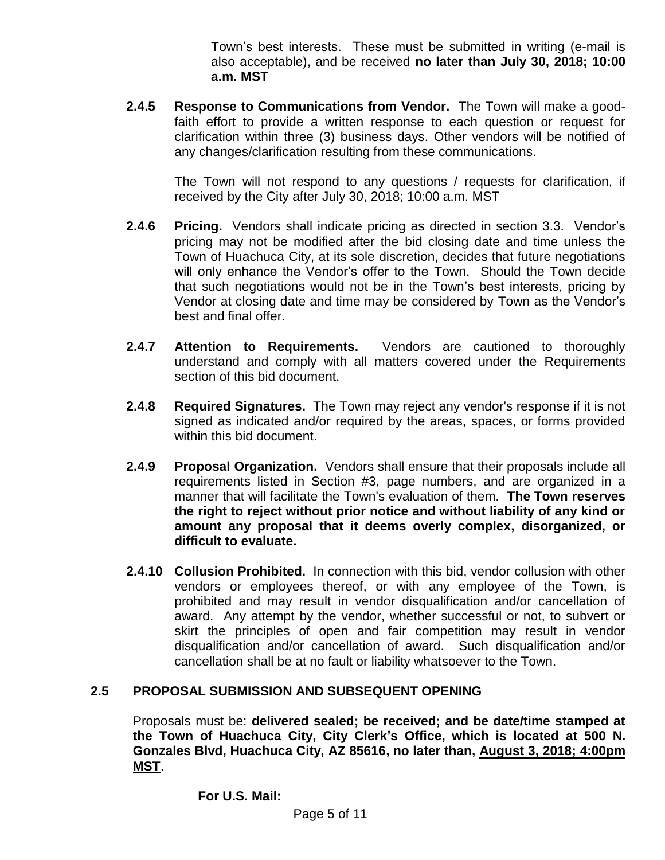Town's best interests. These must be submitted in writing (e-mail is also acceptable), and be received **no later than July 30, 2018; 10:00 a.m. MST**

**2.4.5 Response to Communications from Vendor.** The Town will make a goodfaith effort to provide a written response to each question or request for clarification within three (3) business days. Other vendors will be notified of any changes/clarification resulting from these communications.

The Town will not respond to any questions / requests for clarification, if received by the City after July 30, 2018; 10:00 a.m. MST

- **2.4.6 Pricing.** Vendors shall indicate pricing as directed in section 3.3. Vendor's pricing may not be modified after the bid closing date and time unless the Town of Huachuca City, at its sole discretion, decides that future negotiations will only enhance the Vendor's offer to the Town. Should the Town decide that such negotiations would not be in the Town's best interests, pricing by Vendor at closing date and time may be considered by Town as the Vendor's best and final offer.
- **2.4.7 Attention to Requirements.** Vendors are cautioned to thoroughly understand and comply with all matters covered under the Requirements section of this bid document.
- **2.4.8 Required Signatures.** The Town may reject any vendor's response if it is not signed as indicated and/or required by the areas, spaces, or forms provided within this bid document.
- **2.4.9 Proposal Organization.** Vendors shall ensure that their proposals include all requirements listed in Section #3, page numbers, and are organized in a manner that will facilitate the Town's evaluation of them. **The Town reserves the right to reject without prior notice and without liability of any kind or amount any proposal that it deems overly complex, disorganized, or difficult to evaluate.**
- **2.4.10 Collusion Prohibited.** In connection with this bid, vendor collusion with other vendors or employees thereof, or with any employee of the Town, is prohibited and may result in vendor disqualification and/or cancellation of award. Any attempt by the vendor, whether successful or not, to subvert or skirt the principles of open and fair competition may result in vendor disqualification and/or cancellation of award. Such disqualification and/or cancellation shall be at no fault or liability whatsoever to the Town.

#### **2.5 PROPOSAL SUBMISSION AND SUBSEQUENT OPENING**

Proposals must be: **delivered sealed; be received; and be date/time stamped at the Town of Huachuca City, City Clerk's Office, which is located at 500 N. Gonzales Blvd, Huachuca City, AZ 85616, no later than, August 3, 2018; 4:00pm MST**.

**For U.S. Mail:**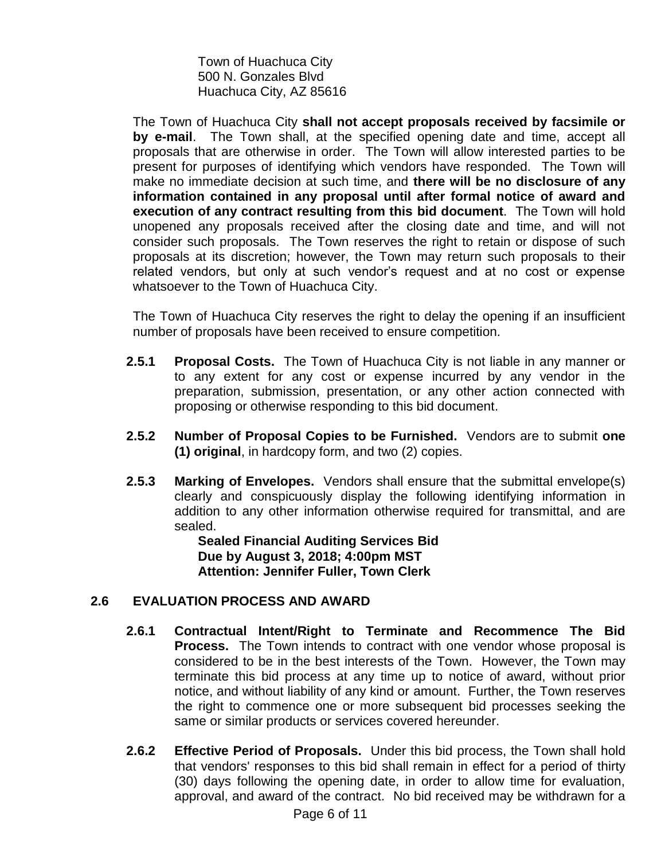Town of Huachuca City 500 N. Gonzales Blvd Huachuca City, AZ 85616

The Town of Huachuca City **shall not accept proposals received by facsimile or by e-mail**. The Town shall, at the specified opening date and time, accept all proposals that are otherwise in order. The Town will allow interested parties to be present for purposes of identifying which vendors have responded. The Town will make no immediate decision at such time, and **there will be no disclosure of any information contained in any proposal until after formal notice of award and execution of any contract resulting from this bid document**. The Town will hold unopened any proposals received after the closing date and time, and will not consider such proposals. The Town reserves the right to retain or dispose of such proposals at its discretion; however, the Town may return such proposals to their related vendors, but only at such vendor's request and at no cost or expense whatsoever to the Town of Huachuca City.

The Town of Huachuca City reserves the right to delay the opening if an insufficient number of proposals have been received to ensure competition.

- **2.5.1 Proposal Costs.** The Town of Huachuca City is not liable in any manner or to any extent for any cost or expense incurred by any vendor in the preparation, submission, presentation, or any other action connected with proposing or otherwise responding to this bid document.
- **2.5.2 Number of Proposal Copies to be Furnished.** Vendors are to submit **one (1) original**, in hardcopy form, and two (2) copies.
- **2.5.3 Marking of Envelopes.** Vendors shall ensure that the submittal envelope(s) clearly and conspicuously display the following identifying information in addition to any other information otherwise required for transmittal, and are sealed.

**Sealed Financial Auditing Services Bid Due by August 3, 2018; 4:00pm MST Attention: Jennifer Fuller, Town Clerk**

#### **2.6 EVALUATION PROCESS AND AWARD**

- **2.6.1 Contractual Intent/Right to Terminate and Recommence The Bid Process.** The Town intends to contract with one vendor whose proposal is considered to be in the best interests of the Town. However, the Town may terminate this bid process at any time up to notice of award, without prior notice, and without liability of any kind or amount. Further, the Town reserves the right to commence one or more subsequent bid processes seeking the same or similar products or services covered hereunder.
- **2.6.2 Effective Period of Proposals.** Under this bid process, the Town shall hold that vendors' responses to this bid shall remain in effect for a period of thirty (30) days following the opening date, in order to allow time for evaluation, approval, and award of the contract. No bid received may be withdrawn for a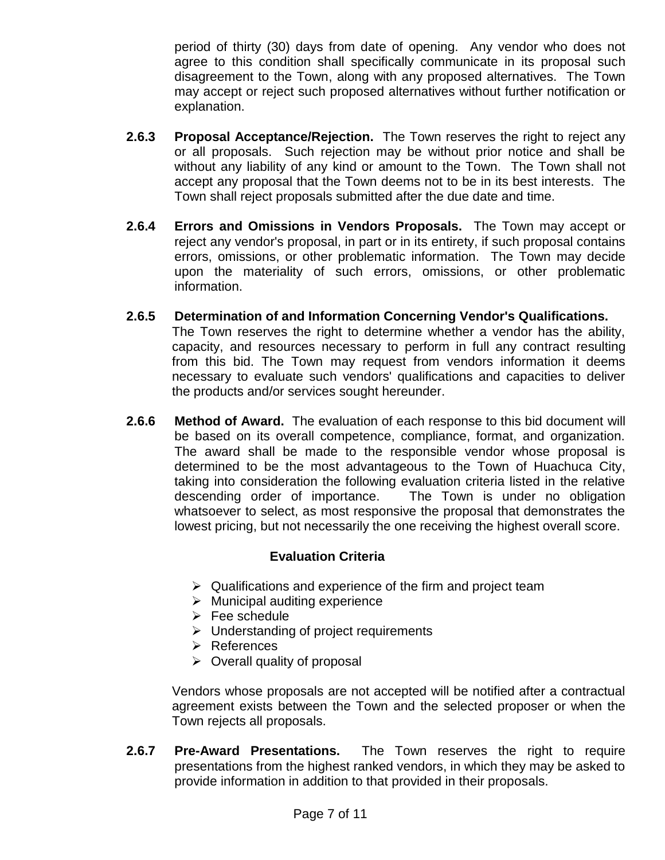period of thirty (30) days from date of opening. Any vendor who does not agree to this condition shall specifically communicate in its proposal such disagreement to the Town, along with any proposed alternatives. The Town may accept or reject such proposed alternatives without further notification or explanation.

- **2.6.3 Proposal Acceptance/Rejection.** The Town reserves the right to reject any or all proposals. Such rejection may be without prior notice and shall be without any liability of any kind or amount to the Town. The Town shall not accept any proposal that the Town deems not to be in its best interests. The Town shall reject proposals submitted after the due date and time.
- **2.6.4 Errors and Omissions in Vendors Proposals.** The Town may accept or reject any vendor's proposal, in part or in its entirety, if such proposal contains errors, omissions, or other problematic information. The Town may decide upon the materiality of such errors, omissions, or other problematic information.
- **2.6.5 Determination of and Information Concerning Vendor's Qualifications.** The Town reserves the right to determine whether a vendor has the ability, capacity, and resources necessary to perform in full any contract resulting from this bid. The Town may request from vendors information it deems necessary to evaluate such vendors' qualifications and capacities to deliver the products and/or services sought hereunder.
- **2.6.6 Method of Award.** The evaluation of each response to this bid document will be based on its overall competence, compliance, format, and organization. The award shall be made to the responsible vendor whose proposal is determined to be the most advantageous to the Town of Huachuca City, taking into consideration the following evaluation criteria listed in the relative descending order of importance. The Town is under no obligation whatsoever to select, as most responsive the proposal that demonstrates the lowest pricing, but not necessarily the one receiving the highest overall score.

#### **Evaluation Criteria**

- $\triangleright$  Qualifications and experience of the firm and project team
- $\triangleright$  Municipal auditing experience
- $\triangleright$  Fee schedule
- $\triangleright$  Understanding of project requirements
- $\triangleright$  References
- $\triangleright$  Overall quality of proposal

Vendors whose proposals are not accepted will be notified after a contractual agreement exists between the Town and the selected proposer or when the Town rejects all proposals.

**2.6.7 Pre-Award Presentations.** The Town reserves the right to require presentations from the highest ranked vendors, in which they may be asked to provide information in addition to that provided in their proposals.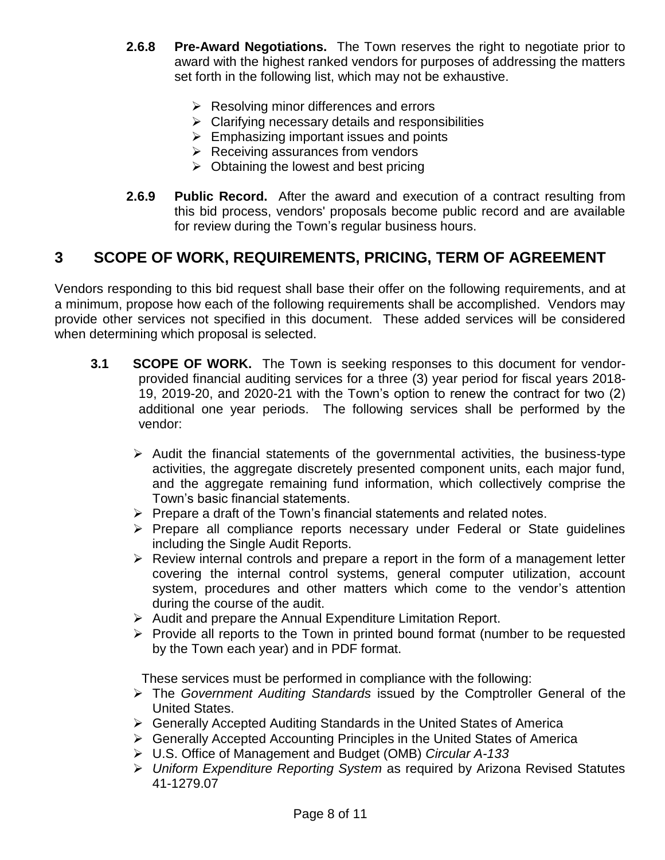- **2.6.8 Pre-Award Negotiations.** The Town reserves the right to negotiate prior to award with the highest ranked vendors for purposes of addressing the matters set forth in the following list, which may not be exhaustive.
	- $\triangleright$  Resolving minor differences and errors
	- $\triangleright$  Clarifying necessary details and responsibilities
	- $\triangleright$  Emphasizing important issues and points
	- $\triangleright$  Receiving assurances from vendors
	- $\triangleright$  Obtaining the lowest and best pricing
- **2.6.9 Public Record.** After the award and execution of a contract resulting from this bid process, vendors' proposals become public record and are available for review during the Town's regular business hours.

## **3 SCOPE OF WORK, REQUIREMENTS, PRICING, TERM OF AGREEMENT**

Vendors responding to this bid request shall base their offer on the following requirements, and at a minimum, propose how each of the following requirements shall be accomplished. Vendors may provide other services not specified in this document. These added services will be considered when determining which proposal is selected.

- **3.1 SCOPE OF WORK.** The Town is seeking responses to this document for vendorprovided financial auditing services for a three (3) year period for fiscal years 2018- 19, 2019-20, and 2020-21 with the Town's option to renew the contract for two (2) additional one year periods. The following services shall be performed by the vendor:
	- $\triangleright$  Audit the financial statements of the governmental activities, the business-type activities, the aggregate discretely presented component units, each major fund, and the aggregate remaining fund information, which collectively comprise the Town's basic financial statements.
	- $\triangleright$  Prepare a draft of the Town's financial statements and related notes.
	- $\triangleright$  Prepare all compliance reports necessary under Federal or State quidelines including the Single Audit Reports.
	- $\triangleright$  Review internal controls and prepare a report in the form of a management letter covering the internal control systems, general computer utilization, account system, procedures and other matters which come to the vendor's attention during the course of the audit.
	- $\triangleright$  Audit and prepare the Annual Expenditure Limitation Report.
	- $\triangleright$  Provide all reports to the Town in printed bound format (number to be requested by the Town each year) and in PDF format.

These services must be performed in compliance with the following:

- The *Government Auditing Standards* issued by the Comptroller General of the United States.
- Generally Accepted Auditing Standards in the United States of America
- $\triangleright$  Generally Accepted Accounting Principles in the United States of America
- U.S. Office of Management and Budget (OMB) *Circular A-133*
- *Uniform Expenditure Reporting System* as required by Arizona Revised Statutes 41-1279.07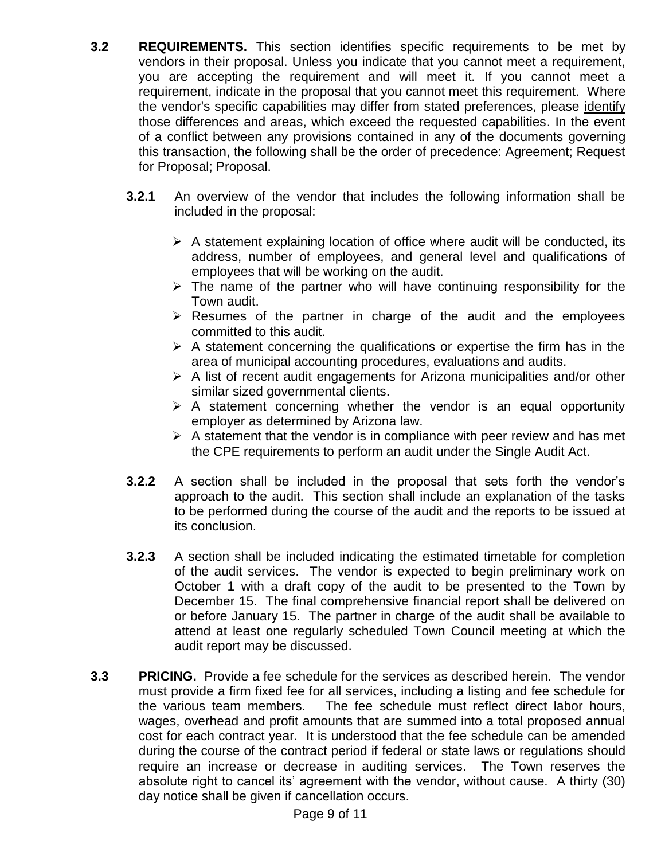- **3.2 REQUIREMENTS.** This section identifies specific requirements to be met by vendors in their proposal. Unless you indicate that you cannot meet a requirement, you are accepting the requirement and will meet it. If you cannot meet a requirement, indicate in the proposal that you cannot meet this requirement. Where the vendor's specific capabilities may differ from stated preferences, please identify those differences and areas, which exceed the requested capabilities. In the event of a conflict between any provisions contained in any of the documents governing this transaction, the following shall be the order of precedence: Agreement; Request for Proposal; Proposal.
	- **3.2.1** An overview of the vendor that includes the following information shall be included in the proposal:
		- $\triangleright$  A statement explaining location of office where audit will be conducted, its address, number of employees, and general level and qualifications of employees that will be working on the audit.
		- $\triangleright$  The name of the partner who will have continuing responsibility for the Town audit.
		- $\triangleright$  Resumes of the partner in charge of the audit and the employees committed to this audit.
		- $\triangleright$  A statement concerning the qualifications or expertise the firm has in the area of municipal accounting procedures, evaluations and audits.
		- $\triangleright$  A list of recent audit engagements for Arizona municipalities and/or other similar sized governmental clients.
		- $\triangleright$  A statement concerning whether the vendor is an equal opportunity employer as determined by Arizona law.
		- $\triangleright$  A statement that the vendor is in compliance with peer review and has met the CPE requirements to perform an audit under the Single Audit Act.
	- **3.2.2** A section shall be included in the proposal that sets forth the vendor's approach to the audit. This section shall include an explanation of the tasks to be performed during the course of the audit and the reports to be issued at its conclusion.
	- **3.2.3** A section shall be included indicating the estimated timetable for completion of the audit services. The vendor is expected to begin preliminary work on October 1 with a draft copy of the audit to be presented to the Town by December 15. The final comprehensive financial report shall be delivered on or before January 15. The partner in charge of the audit shall be available to attend at least one regularly scheduled Town Council meeting at which the audit report may be discussed.
- **3.3 PRICING.** Provide a fee schedule for the services as described herein. The vendor must provide a firm fixed fee for all services, including a listing and fee schedule for the various team members. The fee schedule must reflect direct labor hours, wages, overhead and profit amounts that are summed into a total proposed annual cost for each contract year. It is understood that the fee schedule can be amended during the course of the contract period if federal or state laws or regulations should require an increase or decrease in auditing services. The Town reserves the absolute right to cancel its' agreement with the vendor, without cause. A thirty (30) day notice shall be given if cancellation occurs.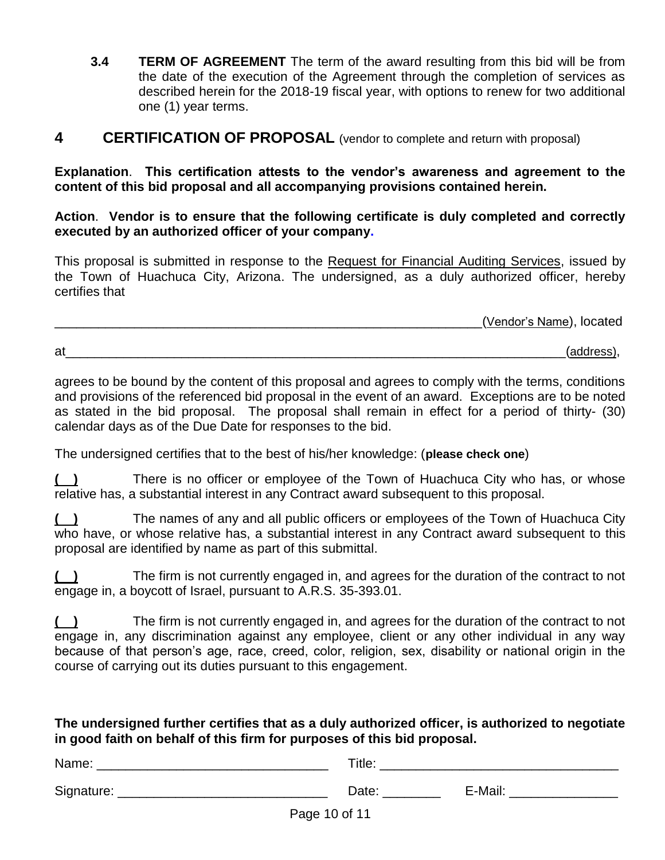**3.4 TERM OF AGREEMENT** The term of the award resulting from this bid will be from the date of the execution of the Agreement through the completion of services as described herein for the 2018-19 fiscal year, with options to renew for two additional one (1) year terms.

#### **4 CERTIFICATION OF PROPOSAL** (vendor to complete and return with proposal)

**Explanation**. **This certification attests to the vendor's awareness and agreement to the content of this bid proposal and all accompanying provisions contained herein.**

**Action**. **Vendor is to ensure that the following certificate is duly completed and correctly executed by an authorized officer of your company.**

This proposal is submitted in response to the Request for Financial Auditing Services, issued by the Town of Huachuca City, Arizona. The undersigned, as a duly authorized officer, hereby certifies that

\_\_\_\_\_\_\_\_\_\_\_\_\_\_\_\_\_\_\_\_\_\_\_\_\_\_\_\_\_\_\_\_\_\_\_\_\_\_\_\_\_\_\_\_\_\_\_\_\_\_\_\_\_\_\_\_\_\_\_(Vendor's Name), located

at\_\_\_\_\_\_\_\_\_\_\_\_\_\_\_\_\_\_\_\_\_\_\_\_\_\_\_\_\_\_\_\_\_\_\_\_\_\_\_\_\_\_\_\_\_\_\_\_\_\_\_\_\_\_\_\_\_\_\_\_\_\_\_\_\_\_\_\_\_(address),

agrees to be bound by the content of this proposal and agrees to comply with the terms, conditions and provisions of the referenced bid proposal in the event of an award. Exceptions are to be noted as stated in the bid proposal. The proposal shall remain in effect for a period of thirty- (30) calendar days as of the Due Date for responses to the bid.

The undersigned certifies that to the best of his/her knowledge: (**please check one**)

**( )** There is no officer or employee of the Town of Huachuca City who has, or whose relative has, a substantial interest in any Contract award subsequent to this proposal.

**( )** The names of any and all public officers or employees of the Town of Huachuca City who have, or whose relative has, a substantial interest in any Contract award subsequent to this proposal are identified by name as part of this submittal.

**( )** The firm is not currently engaged in, and agrees for the duration of the contract to not engage in, a boycott of Israel, pursuant to A.R.S. 35-393.01.

**( )** The firm is not currently engaged in, and agrees for the duration of the contract to not engage in, any discrimination against any employee, client or any other individual in any way because of that person's age, race, creed, color, religion, sex, disability or national origin in the course of carrying out its duties pursuant to this engagement.

#### **The undersigned further certifies that as a duly authorized officer, is authorized to negotiate in good faith on behalf of this firm for purposes of this bid proposal.**

| Name:              | Title: |         |
|--------------------|--------|---------|
| Signature:         | Date:  | E-Mail: |
| $P_{200}$ 10 of 11 |        |         |